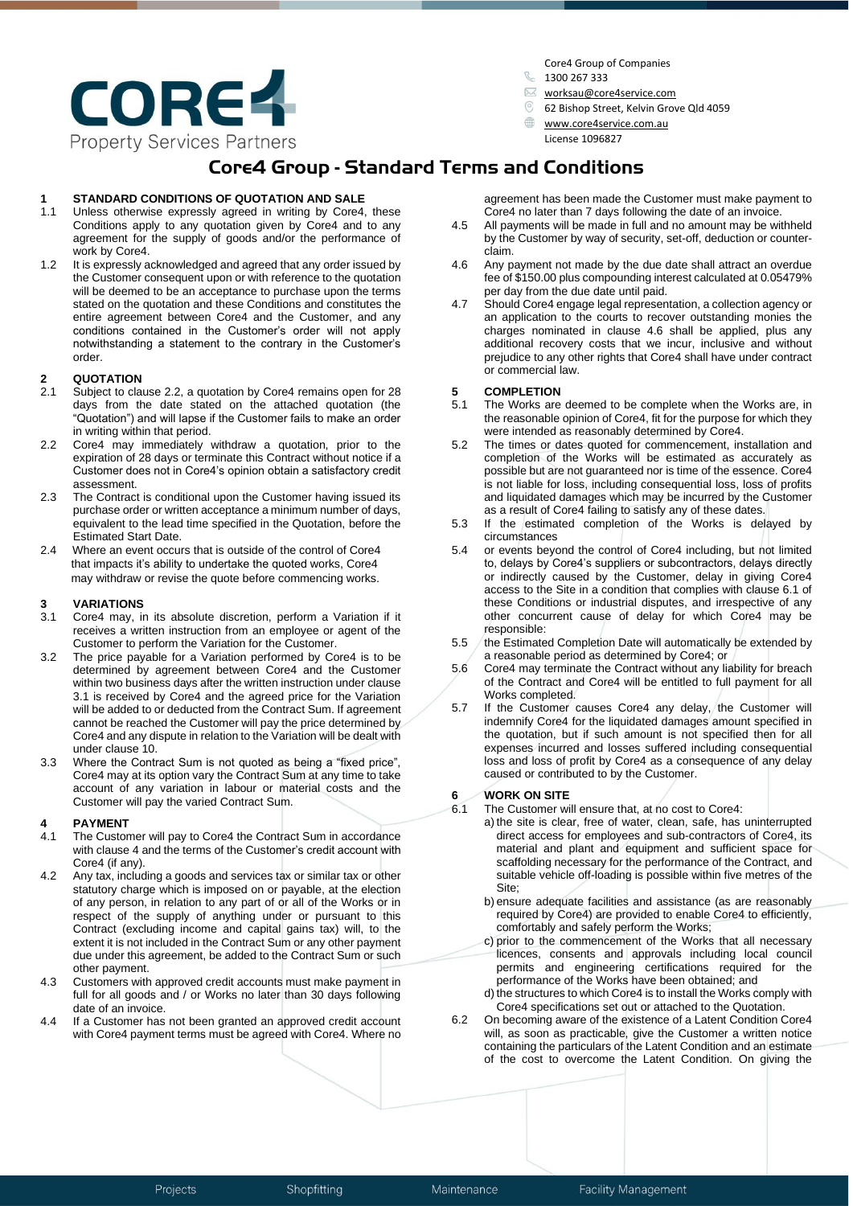

Core4 Group of Companies

- $$1300, 267, 333$
- [worksau@core4service.com](mailto:worksau@core4service.com)
- 62 Bishop Street, Kelvin Grove Qld 4059
	- [www.core4service.com.au](http://www.core4service.com.au/)  License 1096827

## **Core4 Group - Standard Terms and Conditions**

# **11 STANDARD CONDITIONS OF QUOTATION AND SALE**<br>**11 Unless otherwise expressly agreed in writing by Core4**

- Unless otherwise expressly agreed in writing by Core4, these Conditions apply to any quotation given by Core4 and to any agreement for the supply of goods and/or the performance of work by Core4.
- 1.2 It is expressly acknowledged and agreed that any order issued by the Customer consequent upon or with reference to the quotation will be deemed to be an acceptance to purchase upon the terms stated on the quotation and these Conditions and constitutes the entire agreement between Core4 and the Customer, and any conditions contained in the Customer's order will not apply notwithstanding a statement to the contrary in the Customer's order.

## **2 QUOTATION**

- Subject to clause 2.2, a quotation by Core4 remains open for 28 days from the date stated on the attached quotation (the "Quotation") and will lapse if the Customer fails to make an order in writing within that period.
- 2.2 Core4 may immediately withdraw a quotation, prior to the expiration of 28 days or terminate this Contract without notice if a Customer does not in Core4's opinion obtain a satisfactory credit assessment.
- 2.3 The Contract is conditional upon the Customer having issued its purchase order or written acceptance a minimum number of days, equivalent to the lead time specified in the Quotation, before the Estimated Start Date.
- 2.4 Where an event occurs that is outside of the control of Core4 that impacts it's ability to undertake the quoted works, Core4 may withdraw or revise the quote before commencing works.

### **3 VARIATIONS**

- 3.1 Core4 may, in its absolute discretion, perform a Variation if it receives a written instruction from an employee or agent of the Customer to perform the Variation for the Customer.
- 3.2 The price payable for a Variation performed by Core4 is to be determined by agreement between Core4 and the Customer within two business days after the written instruction under clause 3.1 is received by Core4 and the agreed price for the Variation will be added to or deducted from the Contract Sum. If agreement cannot be reached the Customer will pay the price determined by Core4 and any dispute in relation to the Variation will be dealt with under clause 10.
- 3.3 Where the Contract Sum is not quoted as being a "fixed price", Core4 may at its option vary the Contract Sum at any time to take account of any variation in labour or material costs and the Customer will pay the varied Contract Sum.

## **4 PAYMENT**

- The Customer will pay to Core4 the Contract Sum in accordance with clause 4 and the terms of the Customer's credit account with Core4 (if any).
- 4.2 Any tax, including a goods and services tax or similar tax or other statutory charge which is imposed on or payable, at the election of any person, in relation to any part of or all of the Works or in respect of the supply of anything under or pursuant to this Contract (excluding income and capital gains tax) will, to the extent it is not included in the Contract Sum or any other payment due under this agreement, be added to the Contract Sum or such other payment.
- 4.3 Customers with approved credit accounts must make payment in full for all goods and / or Works no later than 30 days following date of an invoice.
- 4.4 If a Customer has not been granted an approved credit account with Core4 payment terms must be agreed with Core4. Where no

agreement has been made the Customer must make payment to Core4 no later than 7 days following the date of an invoice.

- 4.5 All payments will be made in full and no amount may be withheld by the Customer by way of security, set-off, deduction or counterclaim.
- 4.6 Any payment not made by the due date shall attract an overdue fee of \$150.00 plus compounding interest calculated at 0.05479% per day from the due date until paid.
- 4.7 Should Core4 engage legal representation, a collection agency or an application to the courts to recover outstanding monies the charges nominated in clause 4.6 shall be applied, plus any additional recovery costs that we incur, inclusive and without prejudice to any other rights that Core4 shall have under contract or commercial law.

# **5 COMPLETION**

- The Works are deemed to be complete when the Works are, in the reasonable opinion of Core4, fit for the purpose for which they were intended as reasonably determined by Core4.
- 5.2 The times or dates quoted for commencement, installation and completion of the Works will be estimated as accurately as possible but are not guaranteed nor is time of the essence. Core4 is not liable for loss, including consequential loss, loss of profits and liquidated damages which may be incurred by the Customer as a result of Core4 failing to satisfy any of these dates.
- 5.3 If the estimated completion of the Works is delayed by circumstances
- 5.4 or events beyond the control of Core4 including, but not limited to, delays by Core4's suppliers or subcontractors, delays directly or indirectly caused by the Customer, delay in giving Core4 access to the Site in a condition that complies with clause 6.1 of these Conditions or industrial disputes, and irrespective of any other concurrent cause of delay for which Core4 may be responsible:
- 5.5 the Estimated Completion Date will automatically be extended by a reasonable period as determined by Core4; or
- 5.6 Core4 may terminate the Contract without any liability for breach of the Contract and Core4 will be entitled to full payment for all Works completed.
- 5.7 If the Customer causes Core4 any delay, the Customer will indemnify Core4 for the liquidated damages amount specified in the quotation, but if such amount is not specified then for all expenses incurred and losses suffered including consequential loss and loss of profit by Core4 as a consequence of any delay caused or contributed to by the Customer.

# **6 WORK ON SITE**<br>**6.1** The Customer with

- The Customer will ensure that, at no cost to Core4:
	- a) the site is clear, free of water, clean, safe, has uninterrupted direct access for employees and sub-contractors of Core4, its material and plant and equipment and sufficient space for scaffolding necessary for the performance of the Contract, and suitable vehicle off-loading is possible within five metres of the Site;
	- b) ensure adequate facilities and assistance (as are reasonably required by Core4) are provided to enable Core4 to efficiently, comfortably and safely perform the Works;
	- c) prior to the commencement of the Works that all necessary licences, consents and approvals including local council permits and engineering certifications required for the performance of the Works have been obtained; and
	- d) the structures to which Core4 is to install the Works comply with Core4 specifications set out or attached to the Quotation.
- 6.2 On becoming aware of the existence of a Latent Condition Core4 will, as soon as practicable, give the Customer a written notice containing the particulars of the Latent Condition and an estimate of the cost to overcome the Latent Condition. On giving the